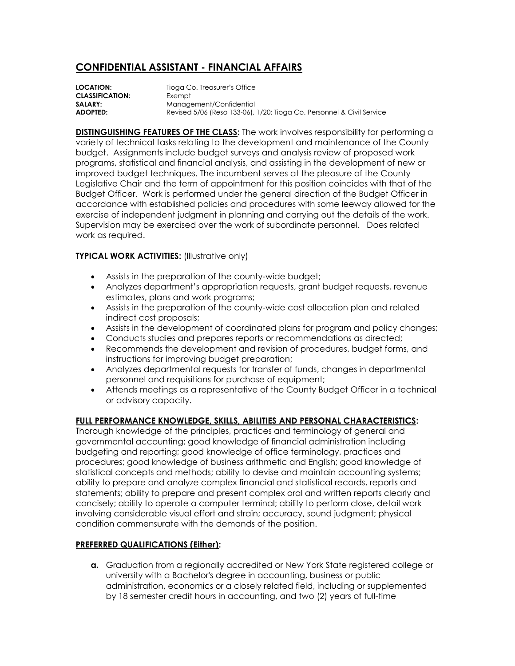## **CONFIDENTIAL ASSISTANT - FINANCIAL AFFAIRS**

**LOCATION:** Tioga Co. Treasurer's Office **CLASSIFICATION:** Exempt **SALARY:** Management/Confidential **ADOPTED:** Revised 5/06 (Reso 133-06), 1/20; Tioga Co. Personnel & Civil Service

**DISTINGUISHING FEATURES OF THE CLASS:** The work involves responsibility for performing a variety of technical tasks relating to the development and maintenance of the County budget. Assignments include budget surveys and analysis review of proposed work programs, statistical and financial analysis, and assisting in the development of new or improved budget techniques. The incumbent serves at the pleasure of the County Legislative Chair and the term of appointment for this position coincides with that of the Budget Officer. Work is performed under the general direction of the Budget Officer in accordance with established policies and procedures with some leeway allowed for the exercise of independent judgment in planning and carrying out the details of the work. Supervision may be exercised over the work of subordinate personnel. Does related work as required.

## **TYPICAL WORK ACTIVITIES:** (Illustrative only)

- Assists in the preparation of the county-wide budget;
- Analyzes department's appropriation requests, grant budget requests, revenue estimates, plans and work programs;
- Assists in the preparation of the county-wide cost allocation plan and related indirect cost proposals;
- Assists in the development of coordinated plans for program and policy changes;
- Conducts studies and prepares reports or recommendations as directed;
- Recommends the development and revision of procedures, budget forms, and instructions for improving budget preparation;
- Analyzes departmental requests for transfer of funds, changes in departmental personnel and requisitions for purchase of equipment;
- Attends meetings as a representative of the County Budget Officer in a technical or advisory capacity.

## **FULL PERFORMANCE KNOWLEDGE, SKILLS, ABILITIES AND PERSONAL CHARACTERISTICS:**

Thorough knowledge of the principles, practices and terminology of general and governmental accounting; good knowledge of financial administration including budgeting and reporting; good knowledge of office terminology, practices and procedures; good knowledge of business arithmetic and English; good knowledge of statistical concepts and methods; ability to devise and maintain accounting systems; ability to prepare and analyze complex financial and statistical records, reports and statements; ability to prepare and present complex oral and written reports clearly and concisely; ability to operate a computer terminal; ability to perform close, detail work involving considerable visual effort and strain; accuracy, sound judgment; physical condition commensurate with the demands of the position.

## **PREFERRED QUALIFICATIONS (Either):**

**a.** Graduation from a regionally accredited or New York State registered college or university with a Bachelor's degree in accounting, business or public administration, economics or a closely related field, including or supplemented by 18 semester credit hours in accounting, and two (2) years of full-time